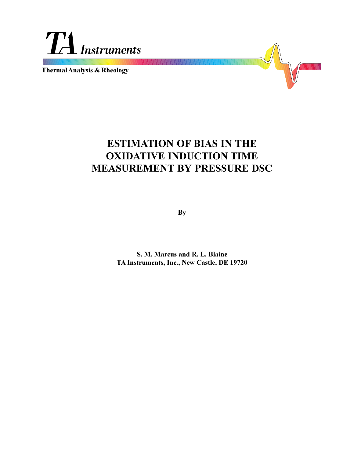

**Thermal Analysis & Rheology**

# **ESTIMATION OF BIAS IN THE OXIDATIVE INDUCTION TIME MEASUREMENT BY PRESSURE DSC**

**By**

**S. M. Marcus and R. L. Blaine TA Instruments, Inc., New Castle, DE 19720**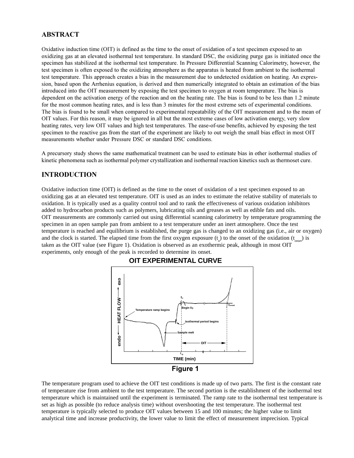## **ABSTRACT**

Oxidative induction time (OIT) is defined as the time to the onset of oxidation of a test specimen exposed to an oxidizing gas at an elevated isothermal test temperature. In standard DSC, the oxidizing purge gas is initiated once the specimen has stabilized at the isothermal test temperature. In Pressure Differential Scanning Calorimetry, however, the test specimen is often exposed to the oxidizing atmosphere as the apparatus is heated from ambient to the isothermal test temperature. This approach creates a bias in the measurement due to undetected oxidation on heating. An expression, based upon the Arrhenius equation, is derived and then numerically integrated to obtain an estimation of the bias introduced into the OIT measurement by exposing the test specimen to oxygen at room temperature. The bias is dependent on the activation energy of the reaction and on the heating rate. The bias is found to be less than 1.2 minute for the most common heating rates, and is less than 3 minutes for the most extreme sets of experimental conditions. The bias is found to be small when compared to experimental repeatability of the OIT measurement and to the mean of OIT values. For this reason, it may be ignored in all but the most extreme cases of low activation energy, very slow heating rates, very low OIT values and high test temperatures. The ease-of-use benefits, achieved by exposing the test specimen to the reactive gas from the start of the experiment are likely to out weigh the small bias effect in most OIT measurements whether under Pressure DSC or standard DSC conditions.

A precursory study shows the same mathematical treatment can be used to estimate bias in other isothermal studies of kinetic phenomena such as isothermal polymer crystallization and isothermal reaction kinetics such as thermoset cure.

#### **INTRODUCTION**

Oxidative induction time (OIT) is defined as the time to the onset of oxidation of a test specimen exposed to an oxidizing gas at an elevated test temperature. OIT is used as an index to estimate the relative stability of materials to oxidation. It is typically used as a quality control tool and to rank the effectiveness of various oxidation inhibitors added to hydrocarbon products such as polymers, lubricating oils and greases as well as edible fats and oils. OIT measurements are commonly carried out using differential scanning calorimetry by temperature programming the specimen in an open sample pan from ambient to a test temperature under an inert atmosphere. Once the test temperature is reached and equilibrium is established, the purge gas is changed to an oxidizing gas (i.e., air or oxygen) and the clock is started. The elapsed time from the first oxygen exposure  $(t_0)$  to the onset of the oxidation  $(t_{onset})$  is taken as the OIT value (see Figure 1). Oxidation is observed as an exothermic peak, although in most OIT experiments, only enough of the peak is recorded to determine its onset.



#### **OIT EXPERIMENTAL CURVE**

The temperature program used to achieve the OIT test conditions is made up of two parts. The first is the constant rate of temperature rise from ambient to the test temperature. The second portion is the establishment of the isothermal test temperature which is maintained until the experiment is terminated. The ramp rate to the isothermal test temperature is set as high as possible (to reduce analysis time) without overshooting the test temperature. The isothermal test temperature is typically selected to produce OIT values between 15 and 100 minutes; the higher value to limit analytical time and increase productivity, the lower value to limit the effect of measurement imprecision. Typical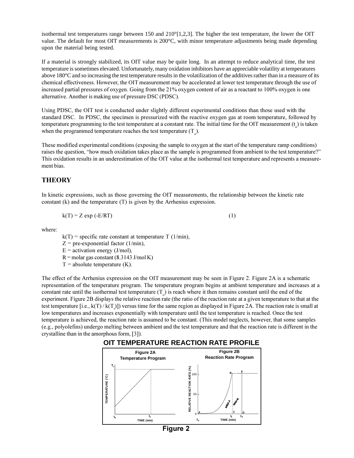isothermal test temperatures range between 150 and  $210^{\circ}$ [1,2,3]. The higher the test temperature, the lower the OIT value. The default for most OIT measurements is 200°C, with minor temperature adjustments being made depending upon the material being tested.

If a material is strongly stabilized, its OIT value may be quite long. In an attempt to reduce analytical time, the test temperature is sometimes elevated. Unfortunately, many oxidation inhibitors have an appreciable volatility at temperatures above 180°C and so increasing the test temperature results in the volatilization of the additives rather than in a measure of its chemical effectiveness. However, the OIT measurement may be accelerated at lower test temperature through the use of increased partial pressures of oxygen. Going from the 21% oxygen content of air as a reactant to 100% oxygen is one alternative. Another is making use of pressure DSC (PDSC).

Using PDSC, the OIT test is conducted under slightly different experimental conditions than those used with the standard DSC. In PDSC, the specimen is pressurized with the reactive oxygen gas at room temperature, followed by temperature programming to the test temperature at a constant rate. The initial time for the OIT measurement  $(t_o)$  is taken when the programmed temperature reaches the test temperature  $(T_0)$ .

These modified experimental conditions (exposing the sample to oxygen at the start of the temperature ramp conditions) raises the question, "how much oxidation takes place as the sample is programmed from ambient to the test temperature?" This oxidation results in an underestimation of the OIT value at the isothermal test temperature and represents a measurement bias.

## **THEORY**

In kinetic expressions, such as those governing the OIT measurements, the relationship between the kinetic rate constant (k) and the temperature (T) is given by the Arrhenius expression.

$$
k(T) = Z \exp(-E/RT) \tag{1}
$$

where:

 $k(T)$  = specific rate constant at temperature T (1/min),

- $Z =$  pre-exponential factor (1/min),
- $E =$  activation energy (J/mol),
- $R =$ molar gas constant (8.3143 J/mol K)
- $T =$  absolute temperature  $(K)$ .

The effect of the Arrhenius expression on the OIT measurement may be seen in Figure 2. Figure 2A is a schematic representation of the temperature program. The temperature program begins at ambient temperature and increases at a constant rate until the isothermal test temperature  $(T_0)$  is reach where it then remains constant until the end of the experiment. Figure 2B displays the relative reaction rate (the ratio of the reaction rate at a given temperature to that at the test temperature [i.e., k(T) / k(T<sub>i</sub>)]) versus time for the same region as displayed in Figure 2A. The reaction rate is small at low temperatures and increases exponentially with temperature until the test temperature is reached. Once the test temperature is achieved, the reaction rate is assumed to be constant. (This model neglects, however, that some samples (e.g., polyolefins) undergo melting between ambient and the test temperature and that the reaction rate is different in the crystalline than in the amorphous form, [3]).





**Figure 2**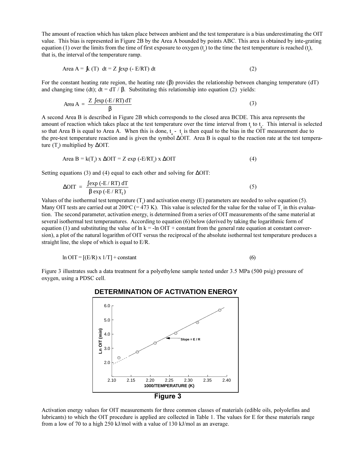The amount of reaction which has taken place between ambient and the test temperature is a bias underestimating the OIT value. This bias is represented in Figure 2B by the Area A bounded by points ABC. This area is obtained by inte-grating equation (1) over the limits from the time of first exposure to oxygen  $(t_o)$  to the time the test temperature is reached ( $t_o$ ), that is, the interval of the temperature ramp.

$$
Area A = \int k(T) dt = Z \int exp(-E/RT) dt
$$
 (2)

For the constant heating rate region, the heating rate  $(\beta)$  provides the relationship between changing temperature (dT) and changing time (dt); dt = dT /  $\beta$ . Substituting this relationship into equation (2) yields:

$$
\text{Area A} = \frac{Z \int \exp\left(-E/RT\right) dT}{\beta} \tag{3}
$$

A second Area B is described in Figure 2B which corresponds to the closed area BCDE. This area represents the amount of reaction which takes place at the test temperature over the time interval from  $t<sub>i</sub>$  to  $t<sub>a</sub>$ . This interval is selected so that Area B is equal to Area A. When this is done,  $t_a - t_i$  is then equal to the bias in the OIT measurement due to the pre-test temperature reaction and is given the symbol ∆OIT. Area B is equal to the reaction rate at the test temperature  $(T_t)$  multiplied by ∆OIT.

$$
Area B = k(Ti) \times \Delta OIT = Z \exp(-E/RTi) \times \Delta OIT
$$
 (4)

Setting equations (3) and (4) equal to each other and solving for ∆OIT:

$$
\Delta \text{OIT} = \frac{\int \exp\left(-E/RT\right) dT}{\beta \exp\left(-E/RT_t\right)}\tag{5}
$$

Values of the isothermal test temperature  $(T<sub>t</sub>)$  and activation energy (E) parameters are needed to solve equation (5). Many OIT tests are carried out at 200°C (= 473 K). This value is selected for the value for the value of  $T_t$  in this evaluation. The second parameter, activation energy, is determined from a series of OIT measurements of the same material at several isothermal test temperautures. According to equation (6) below (derived by taking the logarithmic form of equation (1) and substituting the value of  $\ln k = -\ln \text{OIT} + \text{constant}$  from the general rate equation at constant conversion), a plot of the natural logarithm of OIT versus the reciprocal of the absolute isothermal test temperature produces a straight line, the slope of which is equal to E/R.

$$
\ln \text{OIT} = \left[ \left( \text{E/R} \right) \times 1/\text{T} \right] + \text{constant} \tag{6}
$$

Figure 3 illustrates such a data treatment for a polyethylene sample tested under 3.5 MPa (500 psig) pressure of oxygen, using a PDSC cell.



#### **DETERMINATION OF ACTIVATION ENERGY**

Activation energy values for OIT measurements for three common classes of materials (edible oils, polyolefins and lubricants) to which the OIT procedure is applied are collected in Table 1. The values for E for these materials range from a low of 70 to a high 250 kJ/mol with a value of 130 kJ/mol as an average.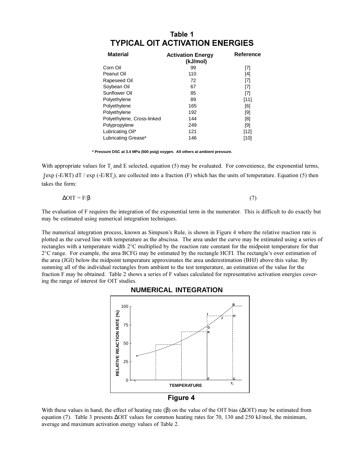| Table 1                                |  |
|----------------------------------------|--|
| <b>TYPICAL OIT ACTIVATION ENERGIES</b> |  |

| <b>Material</b>            | <b>Activation Energy</b><br>(kJ/mol) | Reference |
|----------------------------|--------------------------------------|-----------|
| Corn Oil                   | 99                                   | [7]       |
| Peanut Oil                 | 110                                  | [4]       |
| Rapeseed Oil               | 72                                   | [7]       |
| Soybean Oil                | 67                                   | [7]       |
| Sunflower Oil              | 85                                   | [7]       |
| Polyethylene               | 89                                   | [11]      |
| Polyethylene               | 165                                  | [6]       |
| Polyethylene               | 192                                  | [9]       |
| Polyethylene, Cross-linked | 144                                  | [8]       |
| Polypropylene              | 249                                  | [9]       |
| Lubricating Oil*           | 121                                  | [12]      |
| Lubricating Grease*        | 146                                  | [10]      |

**\* Pressure DSC at 3.4 MPa (500 psig) oxygen. All others at ambient pressure.**

With appropriate values for  $T<sub>t</sub>$  and E selected, equation (5) may be evaluated. For convenience, the exponential terms,  $∫$  exp (-E/RT) dT / exp (-E/RT<sub>t</sub>), are collected into a fraction (F) which has the units of temperature. Equation (5) then takes the form:

$$
\Delta \text{OIT} = \text{F} / \beta \tag{7}
$$

The evaluation of F requires the integration of the exponential term in the numerator. This is difficult to do exactly but may be estimated using numerical integration techniques.

The numerical integration process, known as Simpson's Rule, is shown in Figure 4 where the relative reaction rate is plotted as the curved line with temperature as the abscissa. The area under the curve may be estimated using a series of rectangles with a temperature width 2°C multiplied by the reaction rate constant for the midpoint temperature for that  $2^{\circ}$ C range. For example, the area BCFG may be estimated by the rectangle HCFI. The rectangle's over estimation of the area (JGI) below the midpoint temperature approximates the area underestimation (BHJ) above this value. By summing all of the individual rectangles from ambient to the test temperature, an estimation of the value for the fraction F may be obtained. Table 2 shows a series of F values calculated for representative activation energies covering the range of interest for OIT studies.



#### With these values in hand, the effect of heating rate  $(\beta)$  on the value of the OIT bias ( $\Delta$ OIT) may be estimated from equation (7). Table 3 presents ∆OIT values for common heating rates for 70, 130 and 250 kJ/mol, the minimum, average and maximum activation energy values of Table 2.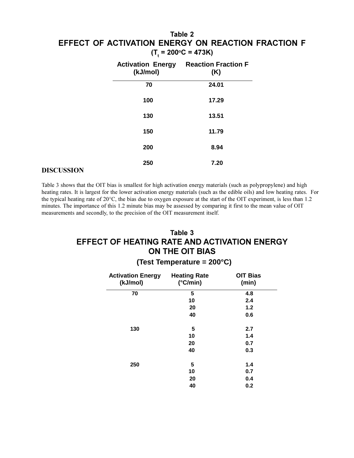# **Table 2 EFFECT OF ACTIVATION ENERGY ON REACTION FRACTION F**  $(T_t = 200^{\circ}C = 473K)$

| (kJ/mol) | <b>Activation Energy Reaction Fraction F</b><br>(K) |
|----------|-----------------------------------------------------|
| 70       | 24.01                                               |
| 100      | 17.29                                               |
| 130      | 13.51                                               |
| 150      | 11.79                                               |
| 200      | 8.94                                                |
| 250      | 7.20                                                |

#### **DISCUSSION**

Table 3 shows that the OIT bias is smallest for high activation energy materials (such as polypropylene) and high heating rates. It is largest for the lower activation energy materials (such as the edible oils) and low heating rates. For the typical heating rate of 20°C, the bias due to oxygen exposure at the start of the OIT experiment, is less than 1.2 minutes. The importance of this 1.2 minute bias may be assessed by comparing it first to the mean value of OIT measurements and secondly, to the precision of the OIT measurement itself.

# **Table 3 EFFECT OF HEATING RATE AND ACTIVATION ENERGY ON THE OIT BIAS**

## **(Test Temperature = 200°C)**

| <b>Activation Energy</b><br>(kJ/mol) | <b>Heating Rate</b><br>$(^{\circ}C/min)$ | <b>OIT Bias</b><br>(min) |
|--------------------------------------|------------------------------------------|--------------------------|
| 70                                   | 5                                        | 4.8                      |
|                                      | 10                                       | 2.4                      |
|                                      | 20                                       | 1.2                      |
|                                      | 40                                       | 0.6                      |
| 130                                  | 5                                        | 2.7                      |
|                                      | 10                                       | 1.4                      |
|                                      | 20                                       | 0.7                      |
|                                      | 40                                       | 0.3                      |
| 250                                  | 5                                        | 1.4                      |
|                                      | 10                                       | 0.7                      |
|                                      | 20                                       | 0.4                      |
|                                      | 40                                       | 0.2                      |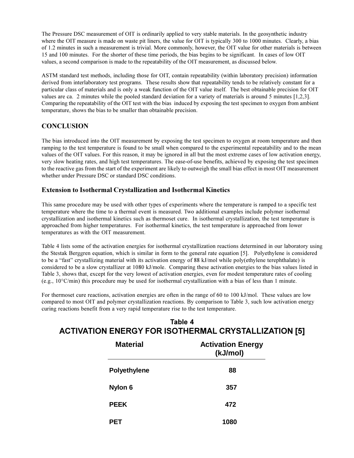The Pressure DSC measurement of OIT is ordinarily applied to very stable materials. In the geosynthetic industry where the OIT measure is made on waste pit liners, the value for OIT is typically 300 to 1000 minutes. Clearly, a bias of 1.2 minutes in such a measurement is trivial. More commonly, however, the OIT value for other materials is between 15 and 100 minutes. For the shorter of these time periods, the bias begins to be significant. In cases of low OIT values, a second comparison is made to the repeatability of the OIT measurement, as discussed below.

ASTM standard test methods, including those for OIT, contain repeatability (within laboratory precision) information derived from interlaboratory test programs. These results show that repeatability tends to be relatively constant for a particular class of materials and is only a weak function of the OIT value itself. The best obtainable precision for OIT values are ca. 2 minutes while the pooled standard deviation for a variety of materials is around 5 minutes [1,2,3]. Comparing the repeatability of the OIT test with the bias induced by exposing the test specimen to oxygen from ambient temperature, shows the bias to be smaller than obtainable precision.

## **CONCLUSION**

The bias introduced into the OIT measurement by exposing the test specimen to oxygen at room temperature and then ramping to the test temperature is found to be small when compared to the experimental repeatability and to the mean values of the OIT values. For this reason, it may be ignored in all but the most extreme cases of low activation energy, very slow heating rates, and high test temperatures. The ease-of-use benefits, achieved by exposing the test specimen to the reactive gas from the start of the experiment are likely to outweigh the small bias effect in most OIT measurement whether under Pressure DSC or standard DSC conditions.

#### **Extension to Isothermal Crystallization and Isothermal Kinetics**

This same procedure may be used with other types of experiments where the temperature is ramped to a specific test temperature where the time to a thermal event is measured. Two additional examples include polymer isothermal crystallization and isothermal kinetics such as thermoset cure. In isothermal crystallization, the test temperature is approached from higher temperatures. For isothermal kinetics, the test temperature is approached from lower temperatures as with the OIT measurement.

Table 4 lists some of the activation energies for isothermal crystallization reactions determined in our laboratory using the Stestak Berggren equation, which is similar in form to the general rate equation [5]. Polyethylene is considered to be a "fast" crystallizing material with its activation energy of 88 kJ/mol while poly(ethylene terephthalate) is considered to be a slow crystallizer at 1080 kJ/mole. Comparing these activation energies to the bias values listed in Table 3, shows that, except for the very lowest of activation energies, even for modest temperature rates of cooling (e.g., 10°C/min) this procedure may be used for isothermal crystallization with a bias of less than 1 minute.

For thermoset cure reactions, activation energies are often in the range of 60 to 100 kJ/mol. These values are low compared to most OIT and polymer crystallization reactions. By comparison to Table 3, such low activation energy curing reactions benefit from a very rapid temperature rise to the test temperature.

# **Table 4 ACTIVATION ENERGY FOR ISOTHERMAL CRYSTALLIZATION [5]**

| <b>Material</b>     | <b>Activation Energy</b><br>(kJ/mol) |  |
|---------------------|--------------------------------------|--|
| <b>Polyethylene</b> | 88                                   |  |
| Nylon 6             | 357                                  |  |
| <b>PEEK</b>         | 472                                  |  |
|                     | 1080                                 |  |